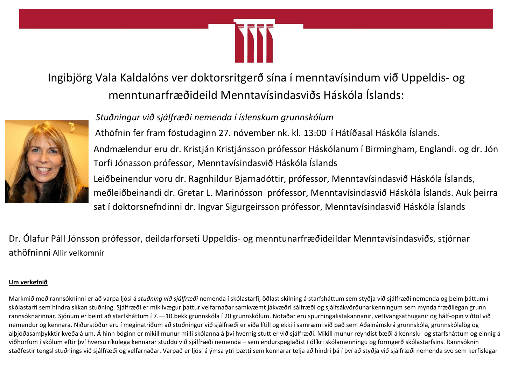

Ingibjörg Vala Kaldalóns ver doktorsritgerð sína í menntavísindum við Uppeldis- og menntunarfræðideild Menntavísindasviðs Háskóla Íslands:



# *Stuðningur við sjálfræði nemenda í íslenskum grunnskólum*

Athöfnin fer fram föstudaginn 27. nóvember nk. kl. 13:00 í Hátíðasal Háskóla Íslands. Andmælendur eru dr. Kristján Kristjánsson prófessor Háskólanum í Birmingham, Englandi. og dr. Jón Torfi Jónasson prófessor, Menntavísindasvið Háskóla Íslands Leiðbeinendur voru dr. Ragnhildur Bjarnadóttir, prófessor, Menntavísindasvið Háskóla Íslands, meðleiðbeinandi dr. Gretar L. Marinósson prófessor, Menntavísindasvið Háskóla Íslands. Auk þeirra sat í doktorsnefndinni dr. Ingvar Sigurgeirsson prófessor, Menntavísindasvið Háskóla Íslands

Dr. Ólafur Páll Jónsson prófessor, deildarforseti Uppeldis- og menntunarfræðideildar Menntavísindasviðs, stjórnar athöfninni Allir velkomnir

## **Um verkefnið**

Markmið með rannsókninni er að varpa ljósi á *stuðning við sjálfræði* nemenda í skólastarfi, öðlast skilning á starfsháttum sem styðja við sjálfræði nemenda og þeim þáttum í skólastarfi sem hindra slíkan stuðning. Sjálfræði er mikilvægur þáttur velfarnaðar samkvæmt jákvæðri sálfræði og sjálfsákvörðunarkenningum sem mynda fræðilegan grunn rannsóknarinnar. Sjónum er beint að starfsháttum í 7.—10.bekk grunnskóla í 20 grunnskólum. Notaðar eru spurningalistakannanir, vettvangsathuganir og hálf-opin viðtöl við nemendur og kennara. Niðurstöður eru í meginatriðum að stuðningur við sjálfræði er víða lítill og ekki í samræmi við það sem Aðalnámskrá grunnskóla, grunnskólalög og alþjóðasamþykktir kveða á um. Á hinn bóginn er mikill munur milli skólanna á því hvernig stutt er við sjálfræði. Mikill munur reyndist bæði á kennslu- og starfsháttum og einnig á viðhorfum í skólum eftir því hversu ríkulega kennarar studdu við sjálfræði nemenda – sem endurspeglaðist í ólíkri skólamenningu og formgerð skólastarfsins. Rannsóknin staðfestir tengsl stuðnings við sjálfræði og velfarnaðar. Varpað er ljósi á ýmsa ytri þætti sem kennarar telja að hindri þá í því að styðja við sjálfræði nemenda svo sem kerfislegar